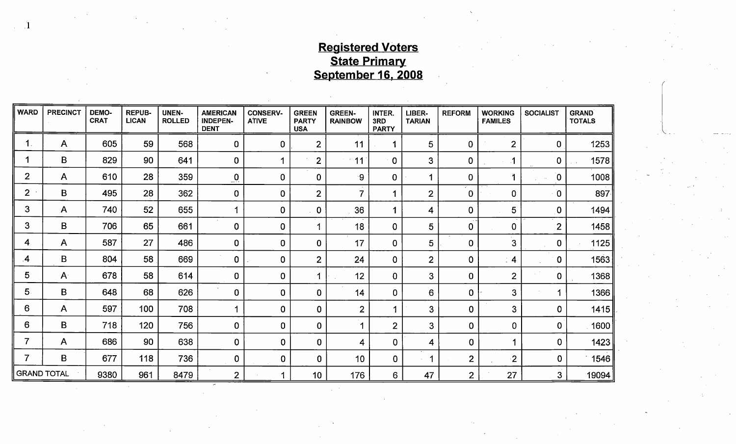## Registered Voters **State Primary** September 16, 2008

| <b>WARD</b>        | <b>PRECINCT</b> | DEMO-<br><b>CRAT</b> | <b>REPUB-</b><br><b>LICAN</b> | <b>UNEN-</b><br><b>ROLLED</b> | <b>AMERICAN</b><br><b>INDEPEN-</b><br><b>DENT</b> | <b>CONSERV-</b><br><b>ATIVE</b> | <b>GREEN</b><br><b>PARTY</b><br><b>USA</b> | <b>GREEN-</b><br><b>RAINBOW</b> | INTER.<br>3RD<br><b>PARTY</b> | LIBER-<br><b>TARIAN</b> | <b>REFORM</b>  | <b>WORKING</b><br><b>FAMILES</b> | <b>SOCIALIST</b> | <b>GRAND</b><br><b>TOTALS</b> |
|--------------------|-----------------|----------------------|-------------------------------|-------------------------------|---------------------------------------------------|---------------------------------|--------------------------------------------|---------------------------------|-------------------------------|-------------------------|----------------|----------------------------------|------------------|-------------------------------|
| $\mathbf 1$ .      | A               | 605                  | 59                            | 568                           | $\mathbf 0$                                       | 0                               | $\overline{2}$                             | 11                              |                               | 5                       | $\mathbf 0$    | $\overline{2}$                   | $\mathbf 0$      | 1253                          |
|                    | B               | 829                  | 90                            | 641                           | $\mathbf 0$                                       | 4                               | $\mathbf{2}$                               | 11                              | $\pm 0.5$                     | 3                       | $\mathbf{0}$   |                                  | $\mathbf 0$      | 1578                          |
| $\overline{2}$     | $\mathsf{A}$    | 610                  | 28                            | 359                           | $\overline{\mathbf{0}}$                           | $\overline{0}$                  | $\overline{0}$                             | ∙9                              | $\mathbf 0$                   | -1                      | $\mathbf 0$    |                                  | 0                | 1008                          |
| $\overline{2}$     | B               | 495                  | 28                            | 362                           | $\overline{0}$                                    | $\mathbf 0$                     | $\mathbf{2}$                               | $\overline{7}$                  |                               | $\overline{2}$          | $\mathbf 0$    | 0                                | $\overline{0}$   | 897                           |
| 3                  | $\mathsf{A}$    | 740                  | 52                            | 655                           | -1                                                | $\mathbf 0$                     | $\overline{0}$                             | 36                              |                               | 4                       | $\mathbf 0$    | 5                                | 0                | 1494                          |
| 3                  | $\mathsf B$     | 706                  | 65                            | 661                           | $\mathbf 0$                                       | $\overline{0}$                  | 4                                          | 18                              | $\bf{0}$                      | 5                       | 0              | $\mathbf 0$                      | $\overline{2}$   | 1458                          |
| 4                  | $\mathsf{A}$    | 587                  | 27                            | 486                           | 0                                                 | $\overline{0}$                  | 0                                          | 17                              | $\mathbf 0$                   | 5                       | $\mathbf 0$    | 3                                | 0                | 1125                          |
| 4                  | $\mathbf{B}$    | 804                  | 58                            | 669                           | $\mathbf 0$                                       | 0                               | $\overline{2}$                             | 24                              | $\overline{0}$                | $\overline{2}$          | $\mathbf 0$    | $\overline{\mathbf{4}}$          | $\bf{0}$         | 1563                          |
| 5                  | $A^2$           | 678                  | 58                            | 614                           | $\mathbf 0$                                       | $\mathbf 0$                     | 1                                          | 12                              | $\mathbf 0$                   | 3                       | 0              | $\overline{2}$                   | 0                | 1368                          |
| 5                  | B               | 648                  | 68                            | 626                           | $\mathbf 0$                                       | 0                               | 0                                          | 14                              | $\mathbf 0$                   | 6                       | $\mathbf 0$    | $\mathbf{3}$                     | 4                | 1366                          |
| 6                  | $\mathsf{A}$    | 597                  | 100                           | 708                           | 1                                                 | $\mathbf 0$                     | 0                                          | $\overline{2}$                  | 1                             | 3                       | 0              | $\mathbf{3}$                     | 0                | 1415                          |
| 6                  | B               | 718                  | 120                           | 756                           | $\mathbf 0$                                       | $\mathbf 0$                     | $\mathbf 0$                                | 1                               | $\overline{2}$                | 3                       | $\mathbf 0$    | $\mathbf 0$                      | $\mathbf 0$      | 1600                          |
| $\overline{7}$     | A               | 686                  | 90                            | 638                           | $\mathbf 0$                                       | $\mathbf 0$                     | 0                                          | 4                               | $\mathbf 0$                   | 4                       | $\mathbf 0$    | 1                                | $\mathbf 0$      | 1423                          |
| 7                  | B               | 677                  | 118                           | 736                           | $\mathbf 0$                                       | $\bf{0}$                        | 0                                          | 10                              | $\mathbf 0$                   | 1                       | $\overline{2}$ | $\overline{2}$                   | $\mathbf 0$      | 1546                          |
| <b>GRAND TOTAL</b> |                 | 9380                 | 961                           | 8479                          | $\overline{2}$                                    |                                 | 10                                         | 176                             | 6                             | 47                      | $\overline{2}$ | 27                               | 3                | 19094                         |

 $\chi \to 0$ 

1

 $\sim 10^{-1}$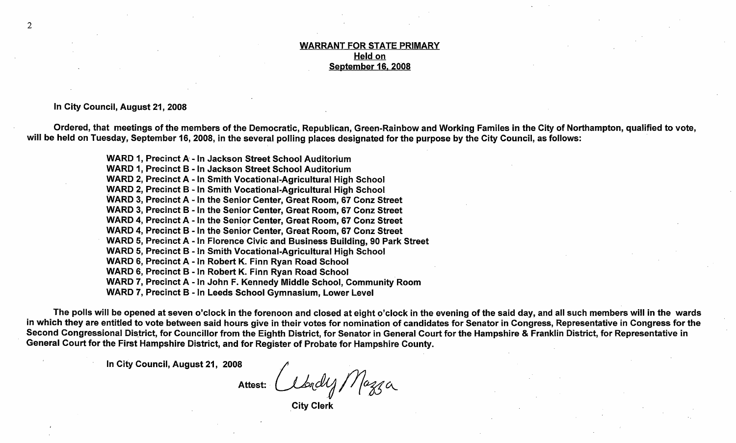#### WARRANT FOR STATE PRIMARY Held on September 16, 2008

In City Council, August 21, 2008

Ordered, that meetings of the members of the Democratic, Republican, Green- Rainbow and Working Familes in the City of Northampton, qualified to vote, will be held on Tuesday, September 16, 2008, in the several polling places designated for the purpose by the City Council, as follows:

> WARD 1, Precinct A - In Jackson Street School Auditorium WARD 1, Precinct B - In Jackson Street School Auditorium WARD 2, Precinct A - In.Smith Vocational-Agricultural High School WARD 2, Precinct B - In Smith Vocational-Agricultural High School WARD 3, Precinct A - In the Senior Center, Great Room, 67 Conz Street WARD 3, Precinct B - In the Senior Center, Great Room, 67 Conz Street WARD 4, Precinct A - In the Senior Center, Great Room, 67 Conz Street WARD 4, Precinct B - In the Senior Center, Great Room, 67 Conz Street WARD 5, Precinct A - In Florence Civic and Business Building, 90 Park Street WARD 5, Precinct B - In Smith Vocational-Agricultural High School WARD 6, Precinct A - In Robert K. Finn Ryan Road School WARD 6, Precinct B - In Robert K. Finn Ryan Road School WARD 7, Precinct A - In John F. Kennedy Middle School, Community Room WARD 7, Precinct B - In Leeds School Gymnasium, Lower Level

The polls will be opened at seven o'clock in the forenoon and closed at eight o'clock in the evening of the said day, and all such members will in the wards in which they are entitled to vote between said hours give in their votes for nomination of candidates for Senator in Congress, Representative in Congress for the Second Congressional District, for Councillor from the Eighth District, for Senator in General Court for the Hampshire & Franklin District, for Representative in General Court for the First Hampshire District, and for Register of Probate for Hampshire County.

In City Council, August 21, 2008

Mazza Attest:

City Clerk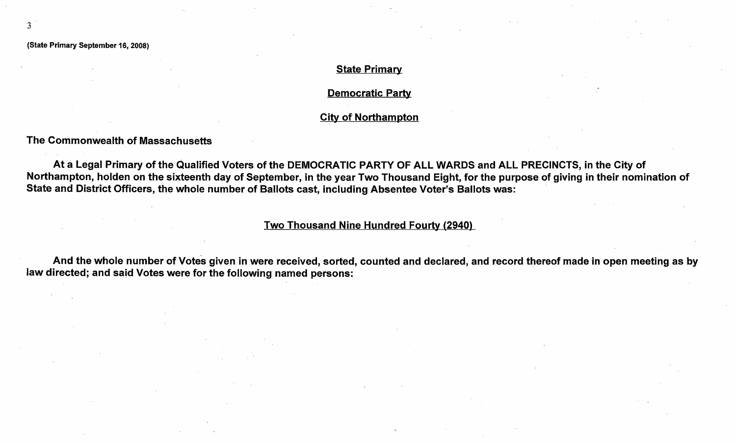3

#### **State Primary**

Democratic Party

#### City of Northampton

The Commonwealth of Massachusetts

At a Legal Primary of the Qualified Voters of the DEMOCRATIC PARTY OF ALL WARDS and ALL PRECINCTS, in the City of Northampton, holden on the sixteenth day of September, in the year Two Thousand Eight, for the purpose of giving in their nomination of State and District Officers, the whole number of Ballots cast, including Absentee Voter's Ballots was:

## <u>Two Thousand Nine Hundred Fourty (2940)</u>

And And the whole number of Votes given in were received, sorted, counted and declared, and record thereof made in open meeting as by law directed; and said Votes were for the following named persons: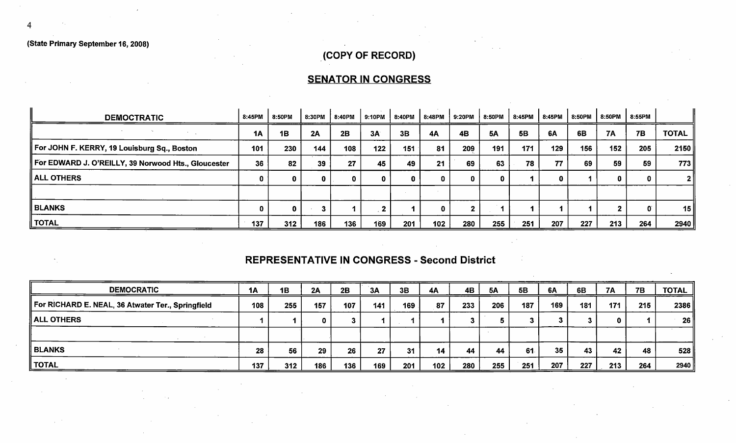4

## COPY OF RECORD)

# SENATOR IN CONGRESS

| <b>DEMOCTRATIC</b>                                  | 8:45PM    | 8:50PM | 8:30PM | 8:40PM | 9:10PM | 8:40PM | 8:48PM           | 9:20PM | 8:50PM    | 8:45PM | 8:45PM | 8:50PM | 8:50PM      | 8:55PM       |              |
|-----------------------------------------------------|-----------|--------|--------|--------|--------|--------|------------------|--------|-----------|--------|--------|--------|-------------|--------------|--------------|
| $\sim$                                              | <b>1A</b> | 1B     | 2A     | 2B     | 3A     | 3B     | <b>4A</b>        | 4B     | <b>5A</b> | 5B     | 6A     | 6B     | <b>7A</b>   | <b>7B</b>    | <b>TOTAL</b> |
| For JOHN F. KERRY, 19 Louisburg Sq., Boston         | 101       | 230    | 144    | 108    | 122    | 151    | 81               | 209    | 191       | 171    | 129    | 156    | 152         | 205          | 2150         |
| For EDWARD J. O'REILLY, 39 Norwood Hts., Gloucester | 36        | 82     | 39     | 27     | 45     | 49     | 21               | 69     | 63        | 78     | 77     | 69     | 59          | 59           | 773          |
| <b>ALL OTHERS</b>                                   |           |        | 0      |        | 0.     |        | 0.               | 0      |           |        |        |        | $\mathbf 0$ |              | 21           |
|                                                     |           |        |        |        |        |        |                  |        |           |        |        |        |             |              |              |
| <b>BLANKS</b>                                       |           | 0      |        |        |        |        |                  |        |           |        |        |        |             | $\mathbf{0}$ | 15           |
| <b>TOTAL</b>                                        | 137       | 312    | 186    | 136    | 169    | 201    | 102 <sub>2</sub> | 280    | 255       | 251    | 207    | 227    | 213         | 264          | 2940         |

## REPRESENTATIVE IN CONGRESS - Second District

| <b>DEMOCRATIC</b>                                 | <b>1A</b> | 1B  | 2A  | 2B  | 3A  | 3B  | <b>4A</b> | 4B  | 5A  | <b>5B</b> | 6A  | 6B  | 7A  | <b>7B</b> | TOTAL |
|---------------------------------------------------|-----------|-----|-----|-----|-----|-----|-----------|-----|-----|-----------|-----|-----|-----|-----------|-------|
| For RICHARD E. NEAL, 36 Atwater Ter., Springfield | 108       | 255 | 157 | 107 | 141 | 169 | 87        | 233 | 206 | 187       | 169 | 181 | 171 | 215       | 2386  |
| <b>ALL OTHERS</b>                                 |           |     |     |     |     |     |           |     |     |           |     |     | 0   |           | 26    |
|                                                   |           |     |     |     |     |     |           |     |     |           |     |     |     |           |       |
| <b>BLANKS</b>                                     | 28        | 56  | 29  | 26  | 27  | 31  | 14        | 44  | 44  | 61        | 35  | 43  | 42  | 48        | 528   |
| <b>TOTAL</b>                                      | 137       | 312 | 186 | 136 | 169 | 201 | 102       | 280 | 255 | 251       | 207 | 227 | 213 | 264       | 2940  |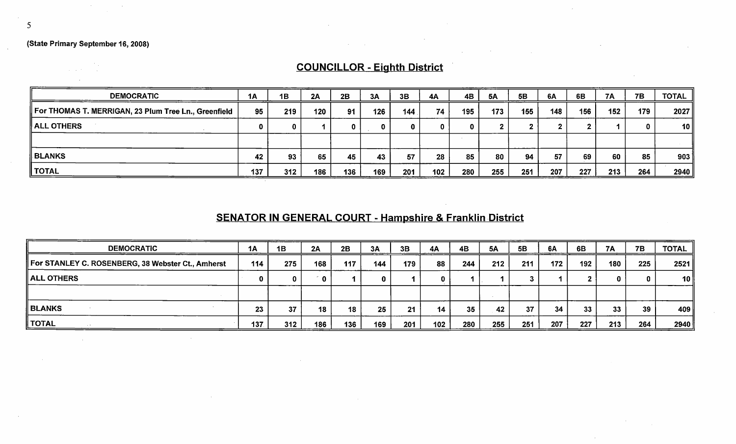$\label{eq:2} \frac{1}{\sqrt{2\pi}}\frac{1}{\sqrt{2\pi}}\frac{1}{\sqrt{2\pi}}\frac{1}{\sqrt{2\pi}}\frac{1}{\sqrt{2\pi}}\frac{1}{\sqrt{2\pi}}\frac{1}{\sqrt{2\pi}}\frac{1}{\sqrt{2\pi}}\frac{1}{\sqrt{2\pi}}\frac{1}{\sqrt{2\pi}}\frac{1}{\sqrt{2\pi}}\frac{1}{\sqrt{2\pi}}\frac{1}{\sqrt{2\pi}}\frac{1}{\sqrt{2\pi}}\frac{1}{\sqrt{2\pi}}\frac{1}{\sqrt{2\pi}}\frac{1}{\sqrt{2\pi}}\frac{1}{\sqrt{2$ 

 $\sim 10^{-1}$ 

# COUNCILLOR - Eighth District

 $\sim 100$  km s  $^{-1}$ 

 $\mathcal{A}^{\mathcal{A}}$  and  $\mathcal{A}^{\mathcal{A}}$ 

| <b>DEMOCRATIC</b>                                    | 1A  | 1B  | 2A  | 2B  | 3A  | 3B  | 4A  | 4Β  | 5A  | 5B  | 6A  | 6B  | 7A  | <b>7B</b> | <b>TOTAL</b> |
|------------------------------------------------------|-----|-----|-----|-----|-----|-----|-----|-----|-----|-----|-----|-----|-----|-----------|--------------|
| For THOMAS T. MERRIGAN, 23 Plum Tree Ln., Greenfield | 95  | 219 | 120 | 91  | 126 | 144 | 74  | 195 | 173 | 155 | 148 | 156 | 152 | 179       | 2027         |
| ALL OTHERS                                           |     |     |     |     | 0.  |     |     | Ω   |     |     |     |     |     |           | 10 II        |
|                                                      |     |     |     |     |     |     |     |     |     |     |     |     |     |           |              |
| ∥ BLANKS                                             | 42  | 93  | 65  | 45  | 43  | 57  | 28  | 85  | 80  | 94  | 57  | 69  | 60  | 85        | 903          |
| TOTAL                                                | 137 | 312 | 186 | 136 | 169 | 201 | 102 | 280 | 255 | 251 | 207 | 227 | 213 | 264       | 2940         |

# SENATOR IN GENERAL COURT - Hampshire & Franklin District

| <b>DEMOCRATIC</b>                                 | 1A  | 1B  | 2A  | 2B  | 3A  | 3B  | 4A  | 4B  | <b>5A</b> | 5B  | 6A  | 6B  | <b>7A</b>       | <b>7B</b> | <b>TOTAL</b>    |
|---------------------------------------------------|-----|-----|-----|-----|-----|-----|-----|-----|-----------|-----|-----|-----|-----------------|-----------|-----------------|
| For STANLEY C. ROSENBERG, 38 Webster Ct., Amherst | 114 | 275 | 168 | 117 | 144 | 179 | 88  | 244 | 212       | 211 | 172 | 192 | 180             | 225       | 2521            |
| ALL OTHERS                                        |     |     | n   |     | 0   |     |     |     |           |     |     |     |                 |           | 10 <sup>1</sup> |
|                                                   |     |     |     |     |     |     |     |     |           |     |     |     |                 |           |                 |
| ∥ BLANKS                                          | 23  | 37  | 18  | 18  | 25  | 21  | 14  | 35  | 42        | 37  | 34  | 33  | 33 <sub>°</sub> | 39        | 409             |
| TOTAL                                             | 137 | 312 | 186 | 136 | 169 | 201 | 102 | 280 | 255       | 251 | 207 | 227 | 213             | 264       | 2940            |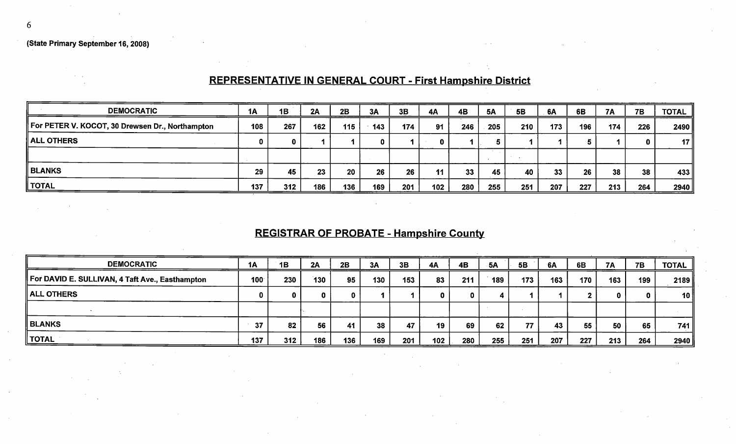# REPRESENTATIVE IN GENERAL COURT - First Hampshire District

| <b>DEMOCRATIC</b>                               | 1A  | 1B  | 2A  | 2B  | 3A  | 3B  | <b>4A</b> | 4B  | <b>5A</b> | <b>5B</b> | 6A  | 6B  | <b>7A</b> | <b>7B</b> | <b>TOTAL</b>    |
|-------------------------------------------------|-----|-----|-----|-----|-----|-----|-----------|-----|-----------|-----------|-----|-----|-----------|-----------|-----------------|
| For PETER V. KOCOT, 30 Drewsen Dr., Northampton | 108 | 267 | 162 | 115 | 143 | 174 | 91        | 246 | 205       | 210       | 173 | 196 | 174       | 226       | 2490            |
| <b>ALL OTHERS</b>                               |     | 0   |     |     |     |     |           |     |           |           |     |     |           |           | 17 <sup>°</sup> |
|                                                 |     |     |     |     |     |     |           |     |           |           |     |     |           |           |                 |
| <b>BLANKS</b>                                   | 29  | 45  | 23  | 20  | 26  | 26  | 11        | 33  | 45        | 40        | 33  | 26  | 38        | 38        | 433             |
| <b>TOTAL</b>                                    | 137 | 312 | 186 | 136 | 169 | 201 | 102       | 280 | 255       | 251       | 207 | 227 | 213       | 264       | 2940            |

# REGISTRAR OF PROBATE - Hampshire County

| <b>DEMOCRATIC</b>                               | <b>1A</b>        | 1B  | 2A  | 2B  | 3A  | 3B  | 4A  | 4B  | <b>5A</b> | 5B  | 6A  | 6B  | 7A  | <b>7B</b> | TOTAL |
|-------------------------------------------------|------------------|-----|-----|-----|-----|-----|-----|-----|-----------|-----|-----|-----|-----|-----------|-------|
| For DAVID E. SULLIVAN, 4 Taft Ave., Easthampton | 100 <sup>°</sup> | 230 | 130 | 95  | 130 | 153 | 83  | 211 | 189       | 173 | 163 | 170 | 163 | 199       | 2189  |
| ALL OTHERS                                      | 0                |     |     |     |     |     |     | o   |           |     |     |     |     |           | 10 ∥  |
|                                                 |                  |     |     |     |     |     |     |     |           |     |     |     |     |           |       |
| <b>BLANKS</b>                                   | 37               | 82  | 56  | 41  | 38  | 47  | 19  | 69  | 62        | 77  | 43  | 55  | 50  | 65        | 741   |
| ∥ TOTAL                                         | 137              | 312 | 186 | 136 | 169 | 201 | 102 | 280 | 255       | 251 | 207 | 227 | 213 | 264       | 2940  |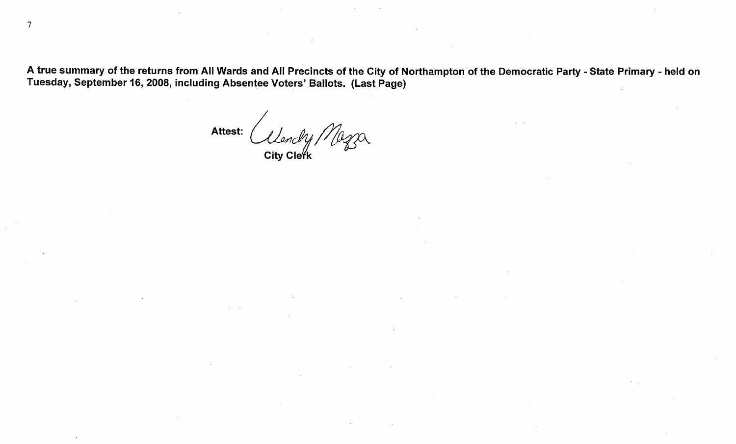A true summary of the returns from All Wards and All Precincts of the City of Northampton of the Democratic Party - State Primary - held on Tuesday, September 16, 2008, including Absentee Voters' Ballots. (Last Page)

Attest: City Cleřk

 $\overline{7}$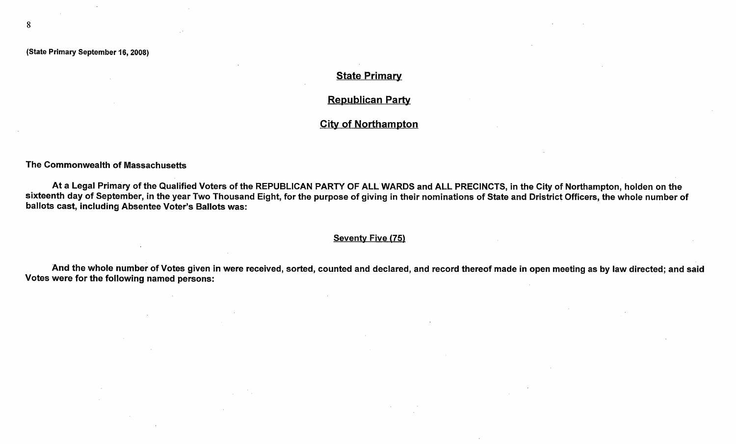8

#### **State Primary**

#### Republican Party

#### City of Northampton

The Commonwealth of Massachusetts

At a Legal Primary of the Qualified Voters of the REPUBLICAN PARTY OF ALL WARDS and ALL PRECINCTS, in the City of Northampton, holden on the sixteenth day of September, in the year Two Thousand Eight, for the purpose of giving in their nominations of State and Dristrict Officers, the whole number of ballots cast, including Absentee Voter's Ballots was:

#### Seventy Five (75)

And the whole number of Votes given in were received, sorted, counted and declared, and record thereof made in open meeting as by law directed; and said Votes were for the following named persons: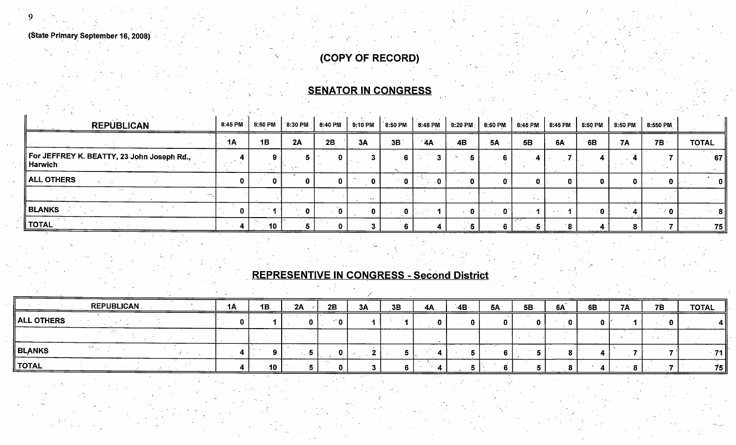COPY OF RECORD)

 $9$  LeV and the set of the set of the set of the set of the set of the set of the set of the set of the set of the set of the set of the set of the set of the set of the set of the set of the set of the set of the set of

# **SENATOR IN CONGRESS**

| <b>REPUBLICAN</b>                                       | 8:45 PM   | 8:50 PM | 8:30 PM | 8:40 PM | 9:10 PM | <b>ิ8:50 PM</b> | 8:48 PM        | $9:20$ PM | 8:50 PM   | 8:45 PM   | 8:45 PM | 8:50 PM   | 8:50 PM   | 8:550 PM |              |
|---------------------------------------------------------|-----------|---------|---------|---------|---------|-----------------|----------------|-----------|-----------|-----------|---------|-----------|-----------|----------|--------------|
|                                                         | <b>1A</b> | 1B      | 2A      | 2B      | 3A      | 3B              | $^{\prime}$ 4A | 4B        | <b>5A</b> | <b>5B</b> | 6A      | 6B        | <b>7A</b> | $7B +$   | <b>TOTAL</b> |
| For JEFFREY K. BEATTY, 23 John Joseph Rd.,<br>∣ Harwich |           |         |         | 0.      |         |                 |                |           |           |           |         |           |           |          | 67           |
| $\parallel$ ALL OTHERS $\parallel$                      |           |         |         |         | n.      |                 |                |           |           |           |         |           |           |          | -0 I         |
|                                                         |           |         |         |         | $  -$   |                 |                |           |           |           |         |           |           |          |              |
| BLANKS                                                  |           |         |         | n       |         |                 |                |           |           |           |         | $\cdot$ 0 |           | $\geq 0$ | - 81         |
| ∥ TOTAL                                                 |           | 10      |         | Ω.      |         |                 |                |           |           |           | ΄8      |           |           |          | <b>75</b>    |

# REPRESENTINE IN CONGRESS - Second District

| REPUBLICAN | 1A | 1B | 2A | 2B    | 3A | 3B | 4A | $-4B$ | 5A | 5B | 6A | 6B | <b>7A</b> | <b>7B</b> | <b>TOTAL</b> |
|------------|----|----|----|-------|----|----|----|-------|----|----|----|----|-----------|-----------|--------------|
|            |    |    |    | n     |    |    |    |       |    |    | __ |    |           |           | ______       |
|            |    |    |    |       |    |    |    |       |    |    |    |    |           |           |              |
|            |    |    |    |       |    |    |    |       |    |    |    |    |           |           | <b>71</b>    |
|            |    |    |    |       |    |    |    |       |    |    |    |    |           |           | <b>75</b>    |
|            |    |    |    | $-10$ |    |    |    |       |    |    |    |    |           |           |              |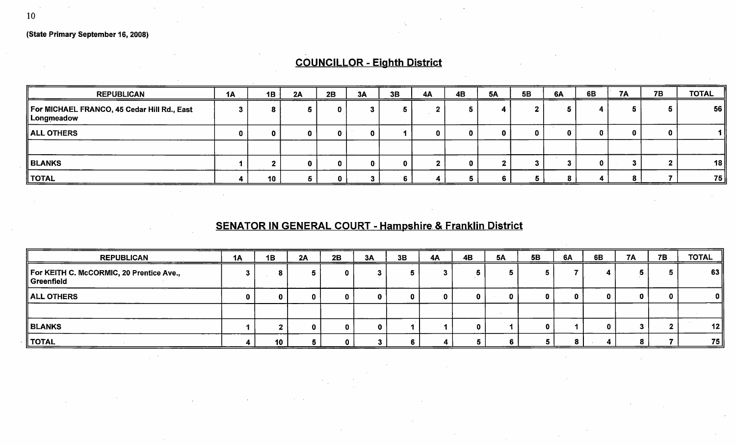# COUNCILLOR - Eighth District

| <b>REPUBLICAN</b>                                         | 1A | 1B | 2A | 2B | 3A | 3B | <b>4A</b> | 4B | <b>5A</b> | <b>5B</b> | 6A | 6B | <b>7A</b> | <b>7B</b> | <b>TOTAL</b> |
|-----------------------------------------------------------|----|----|----|----|----|----|-----------|----|-----------|-----------|----|----|-----------|-----------|--------------|
| For MICHAEL FRANCO, 45 Cedar Hill Rd., East<br>Longmeadow |    | 8  |    |    |    |    |           |    |           |           |    |    |           |           | 56           |
| ALL OTHERS                                                |    | 0  | O  |    |    |    |           |    |           |           |    |    |           |           |              |
|                                                           |    |    |    |    |    |    |           |    |           |           |    |    |           |           |              |
| ∥ BLANKS                                                  |    |    |    |    |    |    |           |    |           |           |    |    |           |           | 18           |
| TOTAL                                                     |    | 10 |    |    |    |    |           |    |           |           |    |    |           |           | 75           |

# SENATOR IN GENERAL COURT - Hampshire & Franklin District

| <b>REPUBLICAN</b>                                      | 1A | 1B | 2A | 2B | 3A | 3B | 4A | 4 <b>B</b> | <b>5A</b> | <b>5B</b> | 6A | 6B | 7A | 7B | <b>TOTAL</b> |
|--------------------------------------------------------|----|----|----|----|----|----|----|------------|-----------|-----------|----|----|----|----|--------------|
| For KEITH C. McCORMIC, 20 Prentice Ave.,<br>Greenfield |    |    |    | u  |    |    |    |            |           |           |    |    |    |    | 63           |
| ALL OTHERS                                             |    |    |    |    |    |    |    |            | 0         |           |    |    | 0  |    | 0            |
|                                                        |    |    |    |    |    |    |    |            |           |           |    |    |    |    |              |
| <b>BLANKS</b>                                          |    |    |    |    |    |    |    | o          |           |           |    |    |    |    | 12           |
| <b>TOTAL</b>                                           |    | 10 |    |    |    |    |    | z.         |           |           |    |    | O  |    | 75           |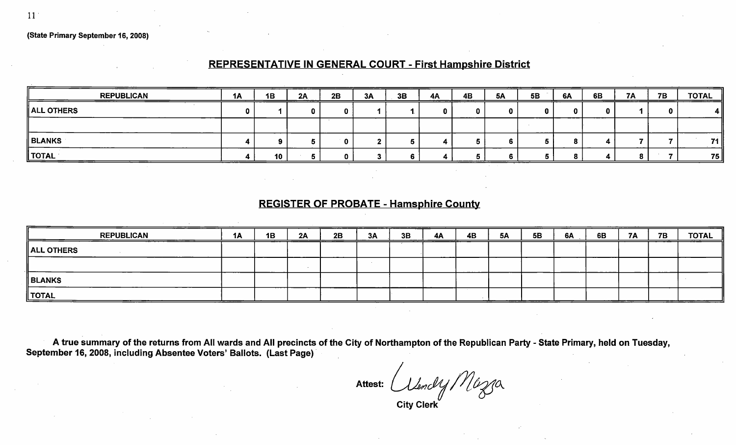### REPRESENTATIVE IN GENERAL COURT - First Hampshire District

| <b>REPUBLICAN</b> | <b>1A</b> | 1B | 2A<br>——————— | 2B | 3A | 3B | <b>4A</b><br>------- | 4B | -----<br><b>5A</b> | <b>5B</b> | 6A | 6B | <b>7A</b> | <b>7B</b> | <b>TOTAL</b> |
|-------------------|-----------|----|---------------|----|----|----|----------------------|----|--------------------|-----------|----|----|-----------|-----------|--------------|
| ALL OTHERS        |           |    |               |    |    |    |                      |    |                    |           |    |    |           |           |              |
|                   |           |    |               |    |    |    |                      |    |                    |           |    |    |           |           |              |
| <b>BLANKS</b>     |           |    |               |    |    |    |                      |    |                    |           |    |    |           |           | 71           |
| <b>TOTAL</b>      |           | 10 |               |    |    |    |                      |    |                    |           |    |    | œ         |           | 75           |

#### REGISTER OF PROBATE - Hamsphire County

| <b>REPUBLICAN</b>      | <b>1A</b> | 1B | 2A | 2B | 3A | 3B | <b>4A</b> | <b>4B</b> | <b>5A</b> | 5B | 6A | 6B | <b>7A</b> | <b>7B</b> | <b>TOTAL</b> |
|------------------------|-----------|----|----|----|----|----|-----------|-----------|-----------|----|----|----|-----------|-----------|--------------|
| $\parallel$ ALL OTHERS |           |    |    |    |    |    |           |           |           |    |    |    |           |           |              |
|                        |           |    |    |    |    |    |           |           |           |    |    |    |           |           |              |
| <b>BLANKS</b>          |           |    |    |    |    |    |           |           |           |    |    |    |           |           |              |
| <b>TOTAL</b>           |           |    |    |    |    |    |           |           |           |    |    |    |           |           |              |

A true summary of the returns from All wards and All precincts of the City of Northampton of the Republican Party - State Primary, held on Tuesday, September 16, 2008, including Absentee Voters' Ballots. (Last Page)

Attest: Citendy Mazza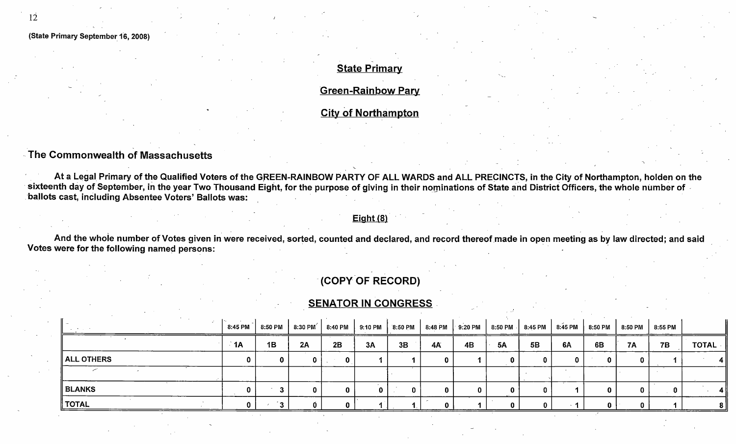### **State Primary**

**Green-Rainbow Pary** 

City of Northampton

### The Commonwealth of Massachusetts

At a Legal Primary of the Qualified Voters of the GREEN-RAINBOW PARTY OF ALL WARDS and ALL PRECINCTS, in the City of Northampton, holden on the sixteenth day of September, in the year Two Thousand Eight, for the purpose of giving in their nominations of State and District Officers, the whole number of ballots cast, including Absentee Voters' Ballots was:

#### $Eight(8)$

And the whole number of Votes given in were received, sorted, counted and declared, and record thereof made in open meeting as by law directed; and said Votes were for the following named persons:

## COPY OF RECORD)

#### **SENATOR IN CONGRESS**

|                                    | 8:45 PM      | 8:50 PM | 8:30 PM | 8:40 PM | 9:10 PM | 8:50 PM | 8:48 PM   | 9:20 PM |           | 8:50 PM 3:45 PM |    | 8:45 PM   8:50 PM | 8:50 PM   | 8:55 PM   |              |
|------------------------------------|--------------|---------|---------|---------|---------|---------|-----------|---------|-----------|-----------------|----|-------------------|-----------|-----------|--------------|
|                                    | $\mathsf{A}$ | 1B      | 2A      | 2B      | 3A      | 3B      | <b>4A</b> | 4B      | <b>5A</b> | 5B              | 6A | 6B                | <b>7A</b> | <b>7B</b> | <b>TOTAL</b> |
| $\parallel$ ALL OTHERS $\parallel$ |              | 0       |         | 0       |         |         |           |         |           |                 |    |                   |           |           |              |
|                                    |              |         |         |         |         |         |           |         |           |                 |    |                   |           |           |              |
| BLANKS                             |              | -       |         | 0       |         |         |           |         |           |                 |    |                   |           |           |              |
| <b>TOTAL</b>                       |              | ົ້      |         |         |         |         |           |         |           |                 |    |                   |           |           |              |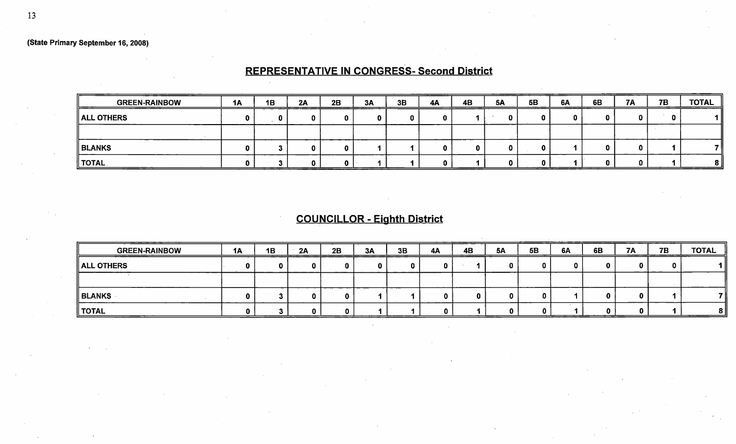# REPRESENTATIVE IN CONGRESS- Second District

| <b>GREEN-RAINBOW</b>   | <b>1A</b> | 1B | 2A | 2B | 3A | 3B | 4A | <b>4B</b> | <b>5A</b> | <b>5B</b><br>____ | 6A | 6B | <b>7A</b> | 7B | ___<br><b>TOTAL</b> |
|------------------------|-----------|----|----|----|----|----|----|-----------|-----------|-------------------|----|----|-----------|----|---------------------|
| $\parallel$ ALL OTHERS |           |    |    |    |    |    |    |           |           |                   |    |    |           |    | 1 II                |
|                        |           |    |    |    |    |    |    |           |           |                   |    |    |           |    |                     |
| ∥ BLANKS               |           |    |    |    |    |    |    |           |           |                   |    |    |           |    | 7 II                |
| $^{\prime}$ TOTAL      |           |    |    |    |    |    |    |           |           | ______            |    |    |           |    | 8 II                |

# COUNCILLOR - Eighth District

| _____<br><b>GREEN-RAINBOW</b> | <b>1A</b> | 1B | 2A | 2B | 3A | 3B | 4A | 4B | <b>5A</b> | 5B | 6A | 6B | <b>7A</b> | 7B<br>________ | <b>TOTAL</b> |
|-------------------------------|-----------|----|----|----|----|----|----|----|-----------|----|----|----|-----------|----------------|--------------|
| $\parallel$ ALL OTHERS        |           |    |    |    |    |    |    |    |           |    |    |    |           |                |              |
|                               |           |    |    |    |    |    |    |    |           |    |    |    |           |                |              |
| ∥ BLANKS                      |           |    |    |    |    |    |    | 0. |           |    |    |    |           |                |              |
| ∥ TOTAL                       |           |    |    |    |    |    |    |    |           |    |    |    |           |                | 81           |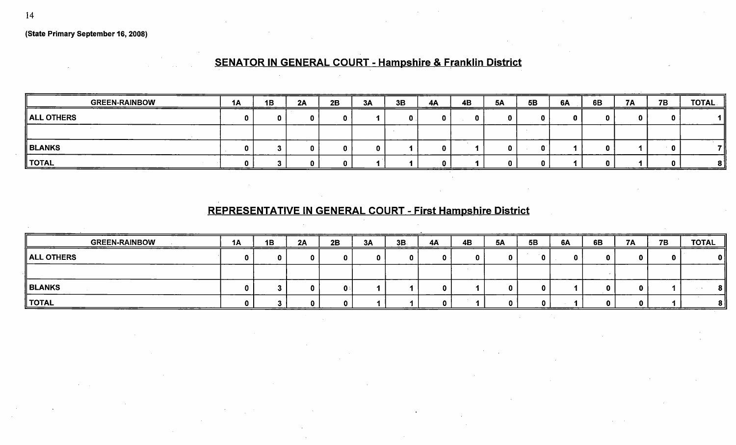# SENATOR IN GENERAL COURT - Hampshire & Franklin District

| <b>GREEN-RAINBOW</b> | 1A | 1B | 2A | 2B | ________<br>3A | 3B | 4A | 4B | <b>5A</b> | <b>5B</b> | 6A | 6B | <b>7A</b> | <b>7B</b>                                                                                                             | <b>TOTAL</b> |
|----------------------|----|----|----|----|----------------|----|----|----|-----------|-----------|----|----|-----------|-----------------------------------------------------------------------------------------------------------------------|--------------|
| ALL OTHERS           |    |    |    |    |                |    |    |    |           |           |    |    |           |                                                                                                                       |              |
|                      |    |    |    |    |                |    |    |    |           |           |    |    |           |                                                                                                                       |              |
| <b>BLANKS</b>        |    |    |    |    |                |    |    |    |           |           |    |    |           |                                                                                                                       |              |
| TOTAL<br>______      |    |    |    |    |                |    |    |    |           |           |    |    |           | <u> Andrew Schwarzen und Schwarzen und der Kanton und der Kanton und der Kanton und der Kanton und der Kanton und</u> |              |

# REPRESENTATIVE IN GENERAL COURT - First Hampshire District

| - - - -<br><b>GREEN-RAINBOW</b> | <b>1A</b> | 1B | ___<br>2A | 2B | - - - - - - -<br>3A | _____<br>3B. | 4A | <b>4B</b> | <b>5A</b> | 5B | 6A | 6B | <b>7A</b> | <b>7B</b> | TOTAL<br>______ |
|---------------------------------|-----------|----|-----------|----|---------------------|--------------|----|-----------|-----------|----|----|----|-----------|-----------|-----------------|
| $\parallel$ ALL OTHERS          |           |    |           |    |                     |              |    |           | n         |    |    |    |           |           | 0               |
|                                 |           |    |           |    |                     |              |    |           |           |    |    |    |           |           |                 |
| BLANKS                          |           |    |           |    |                     |              |    |           |           |    |    |    |           |           | 81              |
| ∥ ТОТАL                         |           |    |           |    |                     |              |    |           |           |    |    |    |           |           |                 |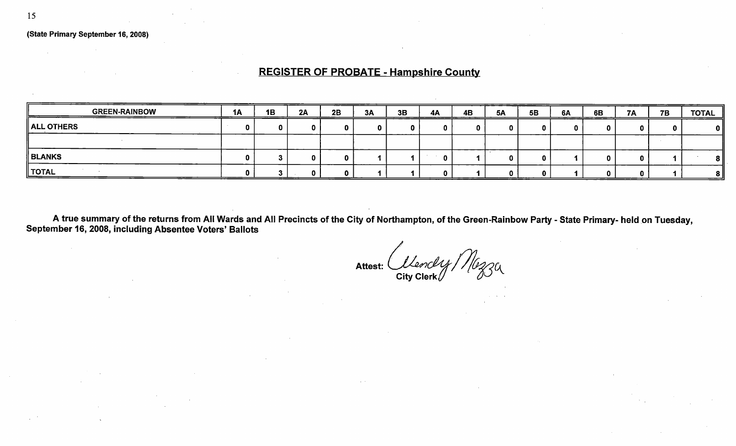## REGISTER OF PROBATE - Hampshire County

| <b>GREEN-RAINBOW</b> | <b>1A</b> | 1B | 2A | 2B | 3A | 3B | 4A | 4B<br>---- | <b>5A</b> | <b>5B</b> | 6A | 6B | <b>7A</b> | <b>7B</b> | <b>TOTAL</b> |
|----------------------|-----------|----|----|----|----|----|----|------------|-----------|-----------|----|----|-----------|-----------|--------------|
| ALL OTHERS           |           |    |    | n  |    |    |    | n          |           |           |    |    |           |           |              |
|                      |           |    |    |    |    |    |    |            |           |           |    |    |           |           |              |
| BLANKS               |           |    |    | n  |    |    |    |            |           |           |    |    |           |           |              |
| ∥ TOTAL              |           |    |    |    |    |    |    |            |           |           |    |    |           |           |              |

A true summary of the returns from All Wards and All Precincts of the City of Northampton, of the Green-Rainbow Party - State Primary- held on Tuesday, September 16, 2008, including Absentee Voters' Ballots

Attest:  $\alpha$  Clanckly / 1/0230 City Clerk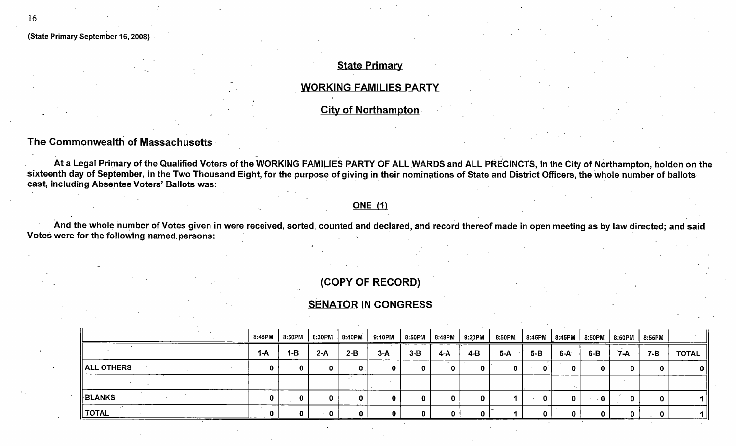### **State Primary**

#### WORKING FAMILIES PARTY

City of Northampton.

### The Commonwealth of Massachusetts

At a Legal Primary of the Qualified Voters of the WORKING FAMILIES PARTY OF ALL WARDS and ALL PRECINCTS, in the City of Northampton, holden on the sixteenth day of September, in the Two Thousand Eight, for the purpose of giving in their nominations of State and District Officers, the whole number of ballots cast, including Absentee Voters' Ballots was:

#### **ONE** (1)

And the whole number of Votes given in were received, sorted, counted and declared, and record thereof made in open meeting as by law directed; and said Votes were for the following named. persons:

### COPY OF RECORD)

### SENATOR IN CONGRESS

|               | 8:45PM | 8:50PM  | 8:30PM | 8:40PM | 9:10PM |       | 8:50PM   8:48PM | 9:20PM | 8:50PM |         |       | 8:45PM   8:45PM   8:50PM   8:50PM |       | $\parallel$ 8:55PM |              |
|---------------|--------|---------|--------|--------|--------|-------|-----------------|--------|--------|---------|-------|-----------------------------------|-------|--------------------|--------------|
|               | 1-A    | $1 - B$ | $2-A$  | $2-B$  | $3-A$  | $3-B$ | $A-A$           | 4-B    | 5-A    | $5 - B$ | 6-A   | $6-B$                             | $7-A$ | 7-B                | <b>TOTAL</b> |
| ALL OTHERS    | 0      | 0.      |        | 0      |        |       | 0               | 0      | n      | n.      | 0     | 0                                 | 0     |                    | UΙ           |
|               |        |         |        |        |        |       |                 |        |        |         |       |                                   |       |                    |              |
| <b>BLANKS</b> |        | 0       |        | 0      |        |       | 0               | 0      |        | 11      |       | - 0                               |       |                    |              |
| ∥ TOTAL       |        | 0.      |        |        |        |       | 0.              | ∸ 0∶   |        |         | - 0 - | - 0                               |       |                    |              |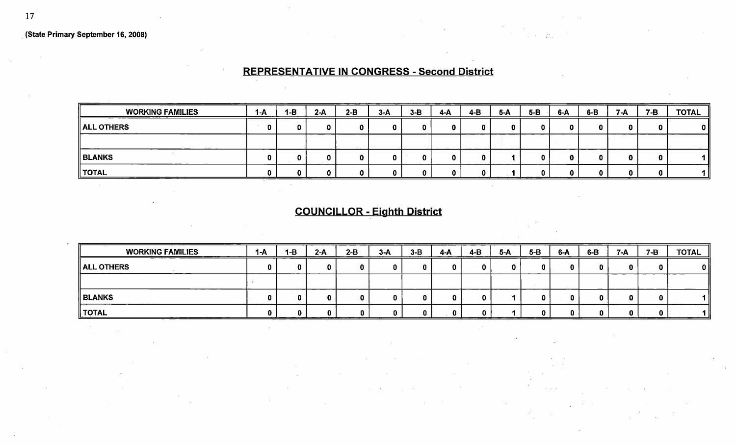## REPRESENTATIVE IN CONGRESS - Second District

| <b>WORKING FAMILIES</b> | $1-A$ | 1-B<br>________ | $2-A$ | $2-B$ | $3-A$ | $3-B$ | _____<br>4-A | $4 - B$ | $5-A$ | $5-B$ | $6-A$ | $6-B$ | $7-A$ | $7-B$ | <b>TOTAL</b> |
|-------------------------|-------|-----------------|-------|-------|-------|-------|--------------|---------|-------|-------|-------|-------|-------|-------|--------------|
| <b>ALL OTHERS</b>       |       |                 |       |       |       |       | 0.           |         |       | n     | n.    |       |       |       | 0 I          |
|                         |       |                 |       |       |       |       |              |         |       |       |       |       |       |       |              |
| <b>BLANKS</b>           |       |                 |       |       |       |       | n.           |         |       |       | п     |       |       |       |              |
| <b>TOTAL</b>            |       |                 |       |       |       |       |              |         |       |       | n     |       | n.    |       |              |

# COUNCILLOR - Eighth District

| ___<br><b>WORKING FAMILIES</b> | 1-A | 1-B | $2-A$ | $2-B$ | $3-A$ | $3-B$ | 4-A | $4-B$ | $5-A$ | $5-B$ | $6-A$ | $6-B$ | $7-A$ | $7 - B$ | <b>TOTAL</b> |
|--------------------------------|-----|-----|-------|-------|-------|-------|-----|-------|-------|-------|-------|-------|-------|---------|--------------|
| ALL OTHERS                     |     |     | n     |       | n     |       | ŋ   |       |       |       |       |       |       |         | 0 I          |
|                                |     |     |       |       |       |       |     |       |       |       |       |       |       |         |              |
| <b>BLANKS</b>                  |     |     |       |       |       |       |     |       |       |       |       |       |       |         |              |
| '  TOTAL                       |     |     | n     | n     |       |       |     |       |       |       |       |       |       |         |              |

 $\frac{1}{2}$  ,  $\frac{1}{2}$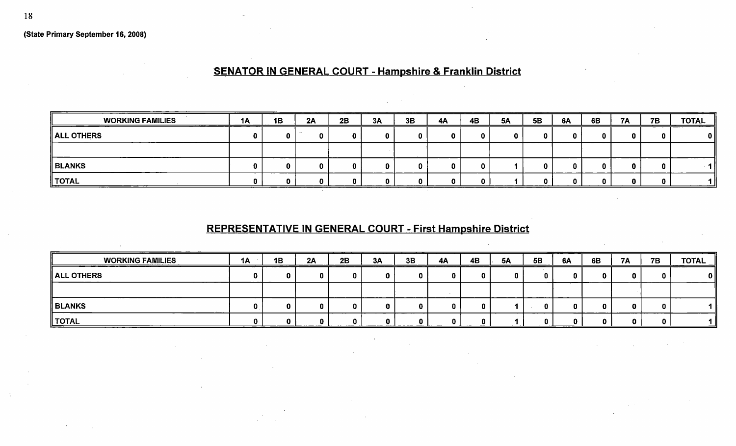# SENATOR IN GENERAL COURT - Hampshire & Franklin District

| <b>WORKING FAMILIES</b> | 1A<br>___ | 1B | 2A | 2B | 3A | 3B | <b>4A</b> | 4B | <b>5A</b> | <b>5B</b> | 6A | 6B | 7A | <b>7B</b> | $\underline{\text{TOTAL}}$ |
|-------------------------|-----------|----|----|----|----|----|-----------|----|-----------|-----------|----|----|----|-----------|----------------------------|
| ALL OTHERS              |           |    |    |    |    |    |           |    |           |           |    |    |    | n.        | $\mathbf{0}$               |
|                         |           |    |    |    |    |    |           |    |           |           |    |    |    |           |                            |
| <b>BLANKS</b>           |           |    |    | 0  | n. |    |           |    |           |           |    |    |    | 0         | 1 II                       |
| ∥ TOTAL                 |           |    |    | 0. | n. |    |           |    |           |           |    |    |    | n         | 4 H                        |

# REPRESENTATIVE IN GENERAL COURT - First Hampshire District

| <b>WORKING FAMILIES</b> | 1A | 1B | 2A | 2B | 3A | 3B | <b>4A</b> | 4B | <b>5A</b> | <b>5B</b> | 6A | 6B | <b>7A</b> | <b>7B</b> | <b>TOTAL</b> |
|-------------------------|----|----|----|----|----|----|-----------|----|-----------|-----------|----|----|-----------|-----------|--------------|
| $\parallel$ ALL OTHERS  |    |    |    |    |    | o  |           |    |           |           |    |    |           |           | 0            |
|                         |    |    |    |    |    |    |           |    |           |           |    |    |           |           |              |
| <b>BLANKS</b>           |    |    | n  | n  |    |    |           |    |           |           |    |    |           |           |              |
| ∥ TOTAL                 |    |    |    |    |    |    |           |    |           |           |    |    | 0         |           |              |